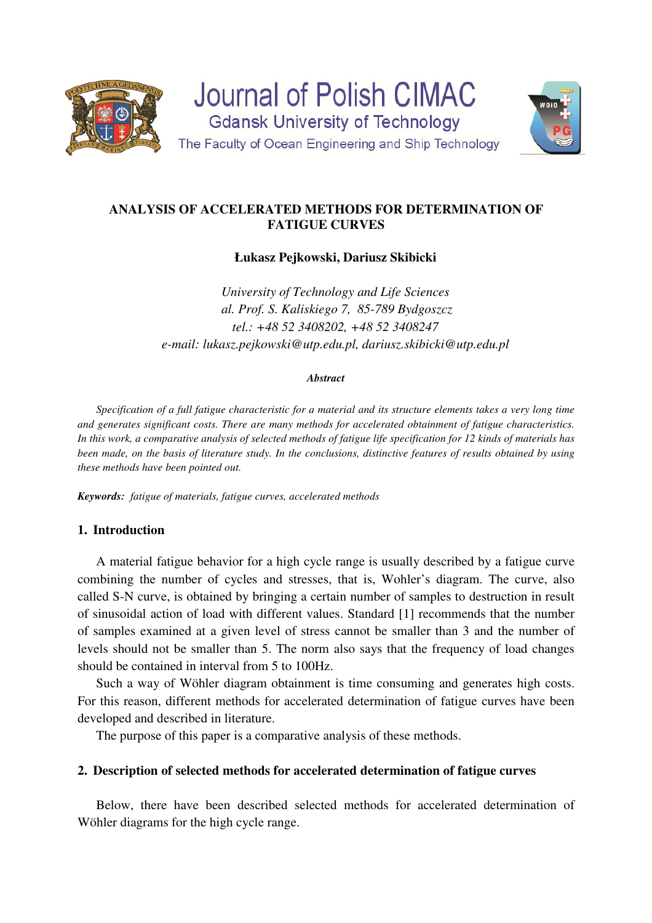

**Journal of Polish CIMAC Gdansk University of Technology** The Faculty of Ocean Engineering and Ship Technology



# **ANALYSIS OF ACCELERATED METHODS FOR DETERMINATION OF FATIGUE CURVES**

**Łukasz Pejkowski, Dariusz Skibicki** 

*University of Technology and Life Sciences al. Prof. S. Kaliskiego 7, 85-789 Bydgoszcz tel.: +48 52 3408202, +48 52 3408247 e-mail: lukasz.pejkowski@utp.edu.pl, dariusz.skibicki@utp.edu.pl* 

### *Abstract*

*Specification of a full fatigue characteristic for a material and its structure elements takes a very long time and generates significant costs. There are many methods for accelerated obtainment of fatigue characteristics. In this work, a comparative analysis of selected methods of fatigue life specification for 12 kinds of materials has been made, on the basis of literature study. In the conclusions, distinctive features of results obtained by using these methods have been pointed out.* 

*Keywords: fatigue of materials, fatigue curves, accelerated methods*

# **1. Introduction**

A material fatigue behavior for a high cycle range is usually described by a fatigue curve combining the number of cycles and stresses, that is, Wohler's diagram. The curve, also called S-N curve, is obtained by bringing a certain number of samples to destruction in result of sinusoidal action of load with different values. Standard [1] recommends that the number of samples examined at a given level of stress cannot be smaller than 3 and the number of levels should not be smaller than 5. The norm also says that the frequency of load changes should be contained in interval from 5 to 100Hz.

Such a way of Wöhler diagram obtainment is time consuming and generates high costs. For this reason, different methods for accelerated determination of fatigue curves have been developed and described in literature.

The purpose of this paper is a comparative analysis of these methods.

# **2. Description of selected methods for accelerated determination of fatigue curves**

Below, there have been described selected methods for accelerated determination of Wöhler diagrams for the high cycle range.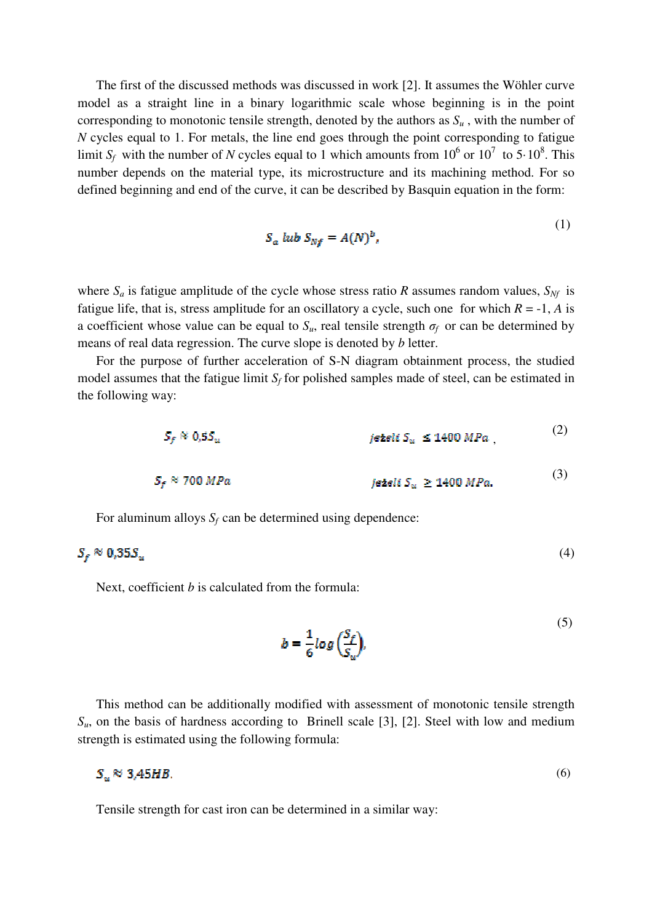The first of the discussed methods was discussed in work [2]. It assumes the Wöhler curve model as a straight line in a binary logarithmic scale whose beginning is in the point corresponding to monotonic tensile strength, denoted by the authors as  $S_u$ , with the number of *N* cycles equal to 1. For metals, the line end goes through the point corresponding to fatigue limit  $S_f$  with the number of *N* cycles equal to 1 which amounts from  $10^6$  or  $10^7$  to 5 $\cdot 10^8$ . This number depends on the material type, its microstructure and its machining method. For so defined beginning and end of the curve, it can be described by Basquin equation in the form:

$$
S_a \text{ lub } S_{Nf} = A(N)^b,
$$
\n(1)

where  $S_a$  is fatigue amplitude of the cycle whose stress ratio *R* assumes random values,  $S_M$  is fatigue life, that is, stress amplitude for an oscillatory a cycle, such one for which  $R = -1$ , *A* is a coefficient whose value can be equal to  $S_u$ , real tensile strength  $\sigma_f$  or can be determined by means of real data regression. The curve slope is denoted by *b* letter.

For the purpose of further acceleration of S-N diagram obtainment process, the studied model assumes that the fatigue limit  $S_f$  for polished samples made of steel, can be estimated in the following way:

$$
S_f \approx 0.5 S_u
$$
 ježeli  $S_u \le 1400 MPa$ ,  

$$
S_f \approx 700 MPa
$$
 ježeli  $S_u \ge 1400 MPa$ .  
(3)

For aluminum alloys  $S_f$  can be determined using dependence:

$$
S_f \approx 0.35 S_u \tag{4}
$$

Next, coefficient *b* is calculated from the formula:

$$
b = \frac{1}{6} \log \left( \frac{S_f}{S_u} \right),\tag{5}
$$

 $(2)$ 

This method can be additionally modified with assessment of monotonic tensile strength  $S_{\mu}$ , on the basis of hardness according to Brinell scale [3], [2]. Steel with low and medium strength is estimated using the following formula:

$$
S_u \approx 3.45 H B. \tag{6}
$$

Tensile strength for cast iron can be determined in a similar way: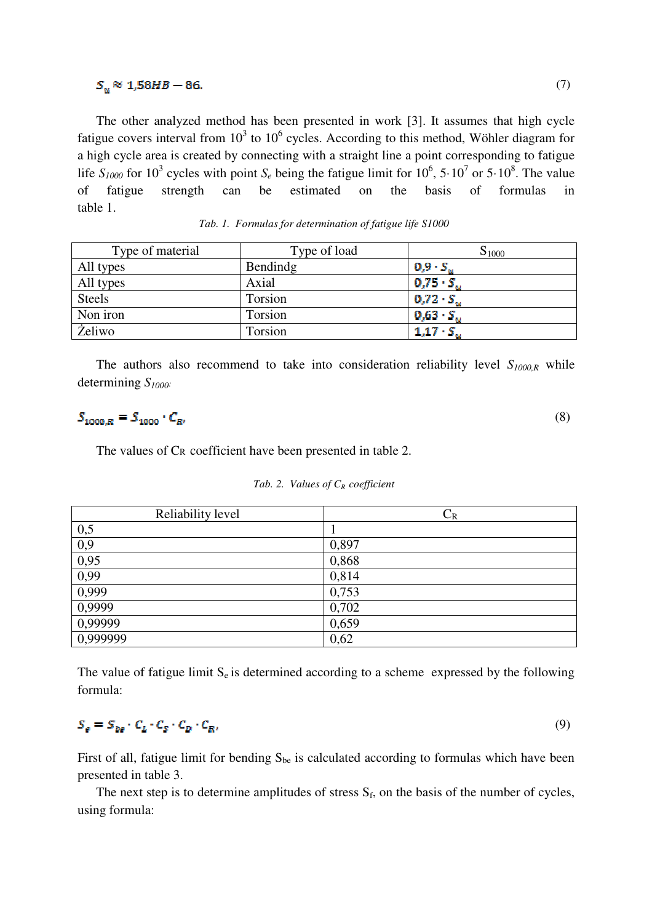### $S_u \approx 1,58HB - 86.$

The other analyzed method has been presented in work [3]. It assumes that high cycle fatigue covers interval from  $10^3$  to  $10^6$  cycles. According to this method, Wöhler diagram for a high cycle area is created by connecting with a straight line a point corresponding to fatigue life  $S_{1000}$  for 10<sup>3</sup> cycles with point  $S_e$  being the fatigue limit for 10<sup>6</sup>, 5·10<sup>7</sup> or 5·10<sup>8</sup>. The value of fatigue strength can be estimated on the basis of formulas in table 1.

| Type of material | Type of load | $S_{1000}$              |
|------------------|--------------|-------------------------|
| All types        | Bendindg     | $0,9.5$ .               |
| All types        | Axial        | $0,75 \cdot S_{\omega}$ |
| <b>Steels</b>    | Torsion      | $0,72 \cdot S_{\odot}$  |
| Non iron         | Torsion      | $0,63 S$ .              |
| <b>Żeliwo</b>    | Torsion      | $1,17 \cdot S_{\ast}$   |

*Tab. 1. Formulas for determination of fatigue life S1000* 

The authors also recommend to take into consideration reliability level *S1000,R* while determining *S1000:*

| $S_{1000,R} = S_{1000} \cdot C_{R}$ |  |
|-------------------------------------|--|
|                                     |  |

The values of CR coefficient have been presented in table 2.

| Reliability level | $C_R$ |
|-------------------|-------|
| 0,5               |       |
| 0,9               | 0,897 |
| 0,95              | 0,868 |
| 0,99              | 0,814 |
| 0,999             | 0,753 |
| 0,9999            | 0,702 |
| 0,99999           | 0,659 |
| 0,999999          | 0,62  |

The value of fatigue limit  $S_e$  is determined according to a scheme expressed by the following formula:

#### $S_e = S_{be} \cdot C_L \cdot C_S \cdot C_D \cdot C_R,$ (9)

First of all, fatigue limit for bending  $S_{be}$  is calculated according to formulas which have been presented in table 3.

The next step is to determine amplitudes of stress  $S_f$ , on the basis of the number of cycles, using formula: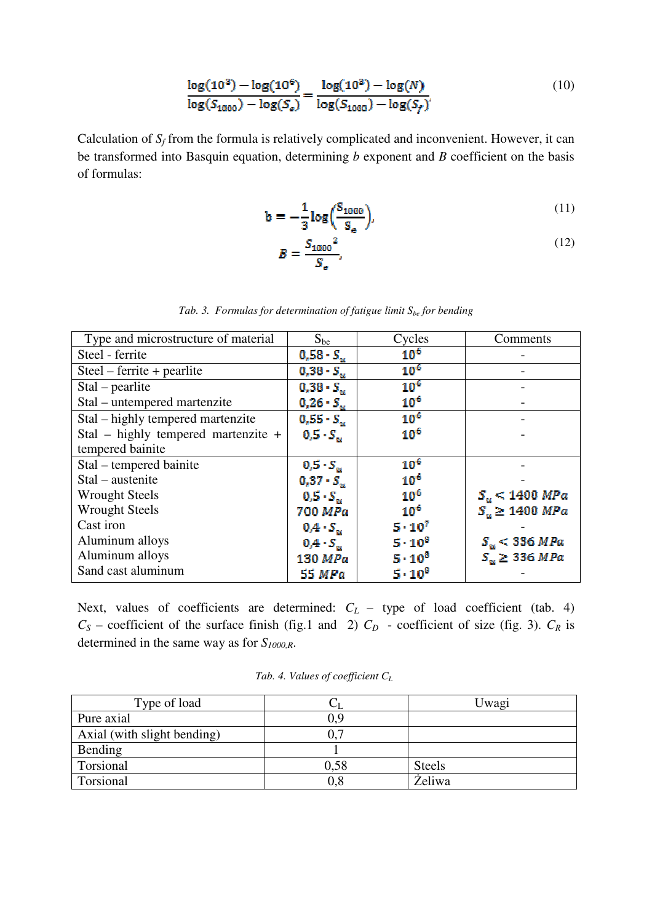$$
\frac{\log(10^3) - \log(10^6)}{\log(S_{1000}) - \log(S_e)} = \frac{\log(10^3) - \log(N)}{\log(S_{1000}) - \log(S_f)}
$$
(10)

Calculation of  $S_f$  from the formula is relatively complicated and inconvenient. However, it can be transformed into Basquin equation, determining *b* exponent and *B* coefficient on the basis of formulas:

$$
b = -\frac{1}{3} \log \left( \frac{S_{1000}}{S_e} \right),\tag{11}
$$

$$
B = \frac{S_{1000}^2}{S_e}.\tag{12}
$$

| Type and microstructure of material | $S_{be}$                | Cycles           | Comments                  |
|-------------------------------------|-------------------------|------------------|---------------------------|
| Steel - ferrite                     | $0.58 \cdot S_{\nu}$    | $10^{6}$         |                           |
| $Steel - ferrite + pearlite$        | $0,38 S_{12}$           | 10 <sup>6</sup>  |                           |
| $Stal - pearlit$                    | $0,38 S_{11}$           | 10 <sup>6</sup>  |                           |
| Stal – untempered martenzite        | $0,26 S_u$              | 10 <sup>6</sup>  |                           |
| Stal – highly tempered martenzite   | $0,55 S S_{\rm{M}}$     | 10 <sup>6</sup>  |                           |
| Stal – highly tempered martenzite + | $0, 5 \cdot S_{\infty}$ | $10^{6}$         |                           |
| tempered bainite                    |                         |                  |                           |
| Stal – tempered bainite             | $0, 5 \cdot S_{\infty}$ | $10^{6}$         |                           |
| Stal – austenite                    | $0,37 \cdot S_{\rm{w}}$ | 10 <sup>6</sup>  |                           |
| <b>Wrought Steels</b>               | $0.5 \cdot S_{\infty}$  | $10^{6}$         | $S_u < 1400 \; MPa$       |
| <b>Wrought Steels</b>               | 700 MPa                 | 10 <sup>6</sup>  | $S_u \geq 1400$ MPa       |
| Cast iron                           | $0.4 \cdot S_{\rm m}$   | $5 - 10^{7}$     |                           |
| Aluminum alloys                     | $0.4 \cdot S_{\alpha}$  | $5 \cdot 10^{8}$ | $S_u < 336 MPa$           |
| Aluminum alloys                     | 130 MPa                 | $5 - 10^{8}$     | $S_{\alpha} \geq 336 MPa$ |
| Sand cast aluminum                  | <b>55 MPa</b>           | $5 \cdot 10^{3}$ |                           |

*Tab. 3. Formulas for determination of fatigue limit Sbe for bending* 

Next, values of coefficients are determined:  $C_L$  – type of load coefficient (tab. 4)  $C_S$  – coefficient of the surface finish (fig.1 and 2)  $C_D$  - coefficient of size (fig. 3).  $C_R$  is determined in the same way as for *S1000,R*.

*Tab. 4. Values of coefficient C<sup>L</sup>*

| Type of load                |      | Uwagi         |
|-----------------------------|------|---------------|
| Pure axial                  | 0.9  |               |
| Axial (with slight bending) |      |               |
| Bending                     |      |               |
| Torsional                   | 0.58 | <b>Steels</b> |
| Torsional                   | 0,8  | Želiwa        |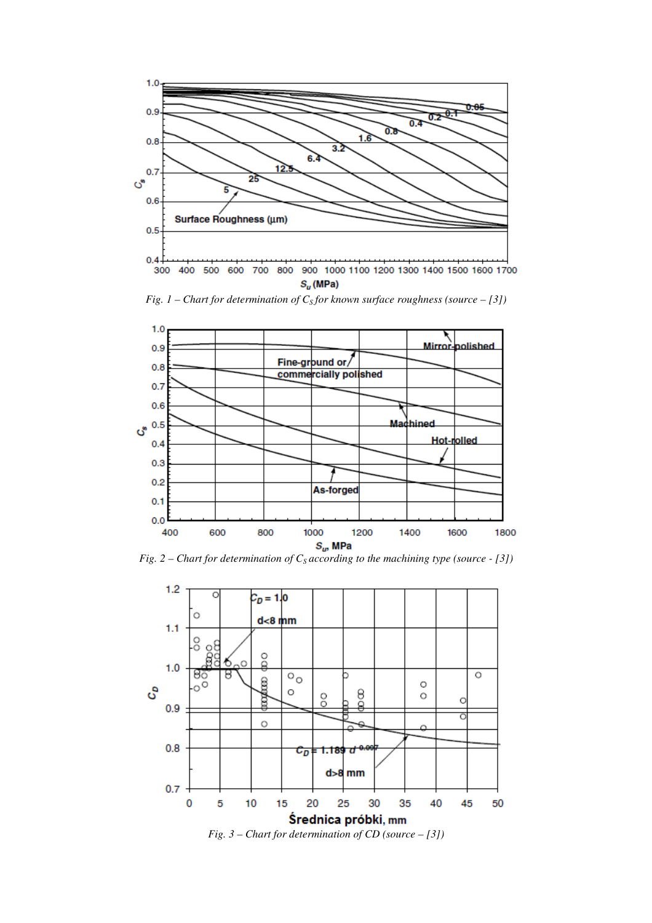

*Fig. 1 – Chart for determination of C<sup>S</sup> for known surface roughness (source – [3])* 



*Fig. 2 – Chart for determination of C<sup>S</sup> according to the machining type (source - [3])* 

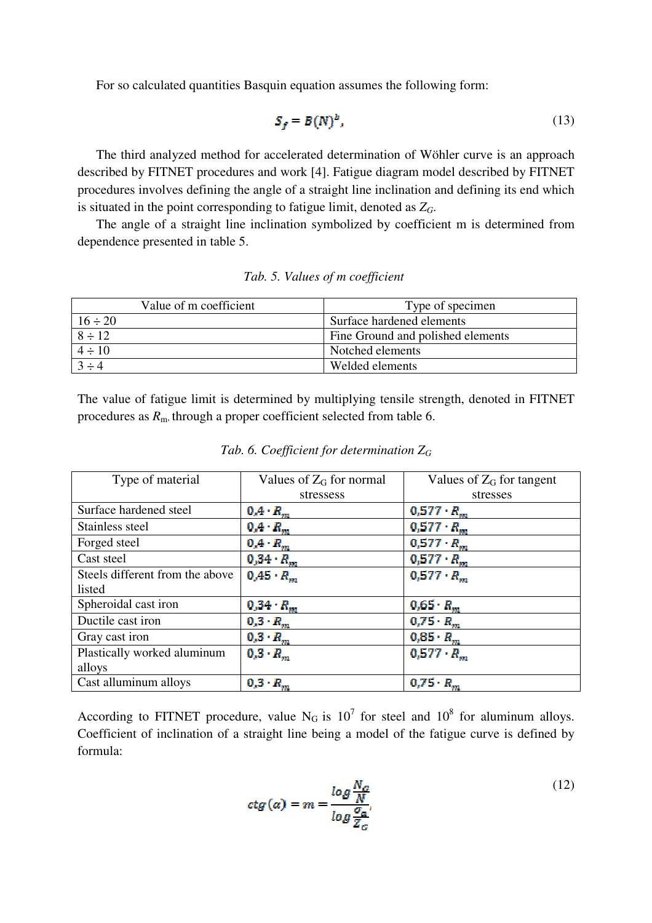For so calculated quantities Basquin equation assumes the following form:

$$
S_f = B(N)^b,\tag{13}
$$

The third analyzed method for accelerated determination of Wöhler curve is an approach described by FITNET procedures and work [4]. Fatigue diagram model described by FITNET procedures involves defining the angle of a straight line inclination and defining its end which is situated in the point corresponding to fatigue limit, denoted as *ZG*.

The angle of a straight line inclination symbolized by coefficient m is determined from dependence presented in table 5.

| Value of m coefficient | Type of specimen                  |
|------------------------|-----------------------------------|
| $16 \div 20$           | Surface hardened elements         |
| $8 \div 12$            | Fine Ground and polished elements |
| $4 \div 10$            | Notched elements                  |
| $3 \div 4$             | Welded elements                   |

*Tab. 5. Values of m coefficient* 

The value of fatigue limit is determined by multiplying tensile strength, denoted in FITNET procedures as *R*m, through a proper coefficient selected from table 6.

| Type of material                | Values of $Z_G$ for normal  | Values of $Z_G$ for tangent |
|---------------------------------|-----------------------------|-----------------------------|
|                                 | stressess                   | stresses                    |
| Surface hardened steel          | $0.4 \cdot R_m$             | $0,577 \cdot R_{m}$         |
| Stainless steel                 | $0.4 \cdot R_m$             | $0,577 \cdot R_{\rm sm}$    |
| Forged steel                    | $0.4 \cdot R_m$             | $0.577 \cdot R_m$           |
| Cast steel                      | $0,34 \cdot R_m$            | $0,577 \cdot R_{\rm sm}$    |
| Steels different from the above | $0.45 \cdot R_{\text{max}}$ | $0,577 \cdot R_{\rm sm}$    |
| listed                          |                             |                             |
| Spheroidal cast iron            | $0,34 \cdot R_m$            | $0,65 \cdot R_{m}$          |
| Ductile cast iron               | $0.3 \cdot R_m$             | $0.75 \cdot R_{m}$          |
| Gray cast iron                  | $0.3 \cdot R_m$             | $0.85 \cdot R_m$            |
| Plastically worked aluminum     | $0.3 \cdot R_m$             | $0.577 \cdot R_{m}$         |
| alloys                          |                             |                             |
| Cast alluminum alloys           | $0.3 \cdot R_m$             | $0.75 \cdot R_m$            |

*Tab. 6. Coefficient for determination Z<sup>G</sup>*

According to FITNET procedure, value  $N_G$  is 10<sup>7</sup> for steel and 10<sup>8</sup> for aluminum alloys. Coefficient of inclination of a straight line being a model of the fatigue curve is defined by formula:

$$
ctg(a) = m = \frac{\log \frac{N_G}{N}}{\log \frac{\sigma_a}{Z_G}}.
$$
\n(12)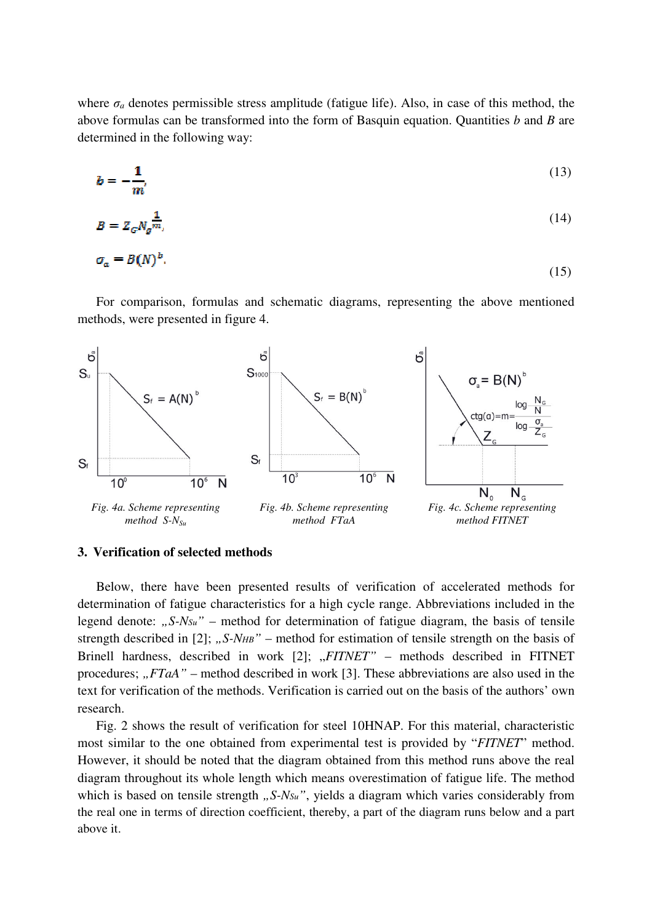where  $\sigma_a$  denotes permissible stress amplitude (fatigue life). Also, in case of this method, the above formulas can be transformed into the form of Basquin equation. Quantities *b* and *B* are determined in the following way:

$$
b = -\frac{1}{m'}\tag{13}
$$

$$
B = Z_G N_g^{\frac{1}{m}}.
$$
\n<sup>(14)</sup>

$$
\sigma_a = B(N)^b. \tag{15}
$$

For comparison, formulas and schematic diagrams, representing the above mentioned methods, were presented in figure 4.



#### **3. Verification of selected methods**

Below, there have been presented results of verification of accelerated methods for determination of fatigue characteristics for a high cycle range. Abbreviations included in the legend denote: *"S-N<sub>Su</sub>*" – method for determination of fatigue diagram, the basis of tensile strength described in [2]; *"S-NHB*" – method for estimation of tensile strength on the basis of Brinell hardness, described in work [2]; "*FITNET*" – methods described in FITNET procedures; " $FTA'$  – method described in work [3]. These abbreviations are also used in the text for verification of the methods. Verification is carried out on the basis of the authors' own research.

Fig. 2 shows the result of verification for steel 10HNAP. For this material, characteristic most similar to the one obtained from experimental test is provided by "*FITNET*" method. However, it should be noted that the diagram obtained from this method runs above the real diagram throughout its whole length which means overestimation of fatigue life. The method which is based on tensile strength *"S-N<sub>Su</sub>*", yields a diagram which varies considerably from the real one in terms of direction coefficient, thereby, a part of the diagram runs below and a part above it.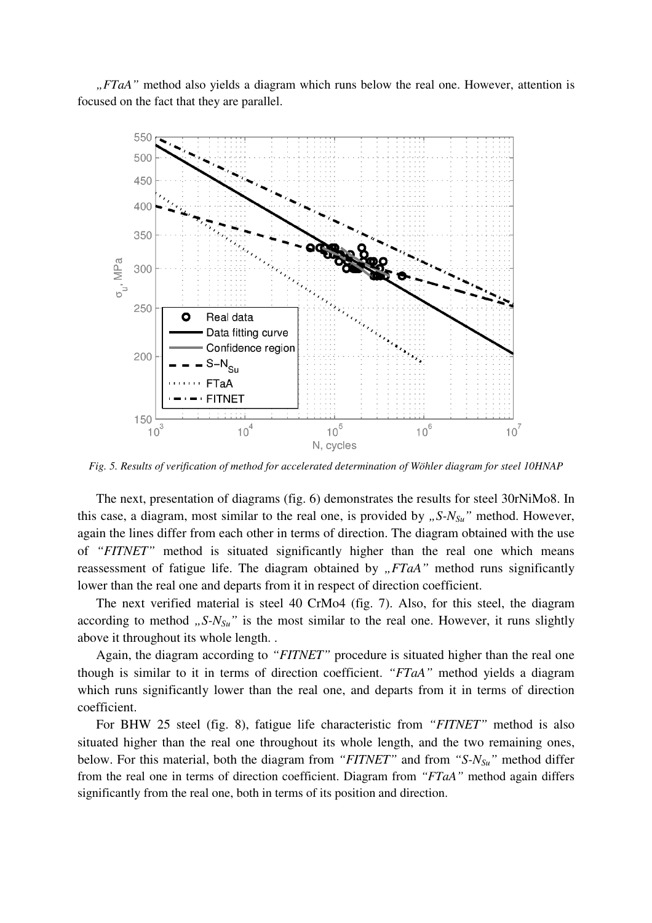*"FTaA"* method also yields a diagram which runs below the real one. However, attention is focused on the fact that they are parallel.



*Fig. 5. Results of verification of method for accelerated determination of Wöhler diagram for steel 10HNAP* 

The next, presentation of diagrams (fig. 6) demonstrates the results for steel 30rNiMo8. In this case, a diagram, most similar to the real one, is provided by "S-N<sub>Su</sub>" method. However, again the lines differ from each other in terms of direction. The diagram obtained with the use of *"FITNET"* method is situated significantly higher than the real one which means reassessment of fatigue life. The diagram obtained by "FTaA" method runs significantly lower than the real one and departs from it in respect of direction coefficient.

The next verified material is steel 40 CrMo4 (fig. 7). Also, for this steel, the diagram according to method  $, S-N<sub>Su</sub>$ <sup>*"*</sup> is the most similar to the real one. However, it runs slightly above it throughout its whole length. .

Again, the diagram according to *"FITNET"* procedure is situated higher than the real one though is similar to it in terms of direction coefficient. *"FTaA"* method yields a diagram which runs significantly lower than the real one, and departs from it in terms of direction coefficient.

For BHW 25 steel (fig. 8), fatigue life characteristic from *"FITNET"* method is also situated higher than the real one throughout its whole length, and the two remaining ones, below. For this material, both the diagram from *"FITNET"* and from *"S-NSu"* method differ from the real one in terms of direction coefficient. Diagram from *"FTaA"* method again differs significantly from the real one, both in terms of its position and direction.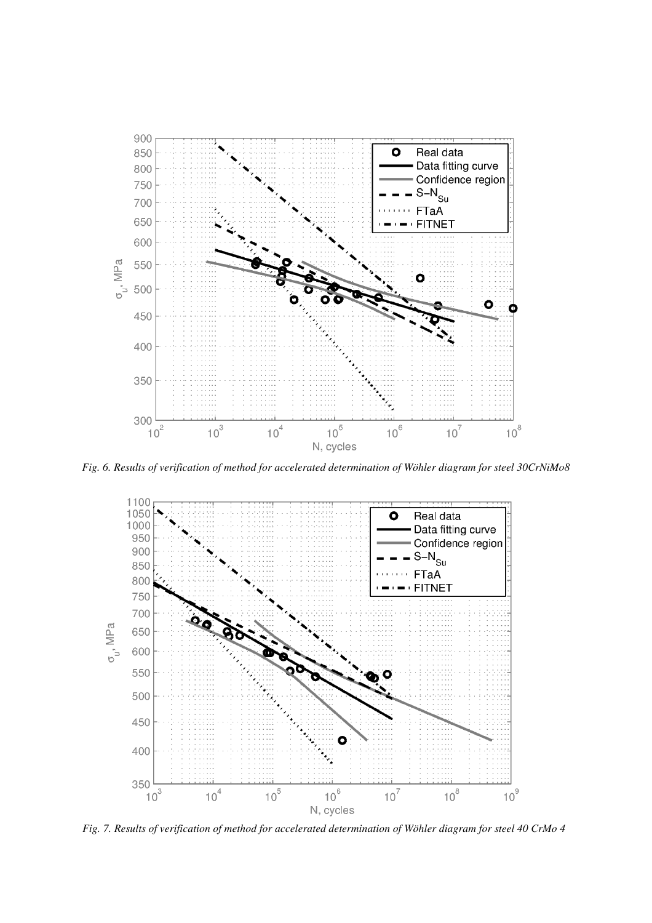

*Fig. 6. Results of verification of method for accelerated determination of Wöhler diagram for steel 30CrNiMo8* 



*Fig. 7. Results of verification of method for accelerated determination of Wöhler diagram for steel 40 CrMo 4*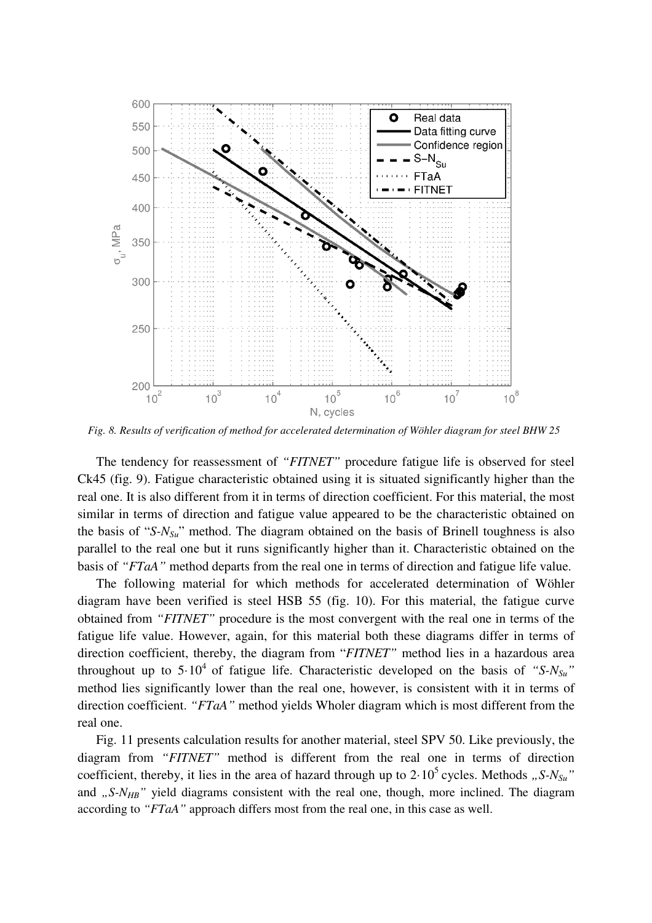

*Fig. 8. Results of verification of method for accelerated determination of Wöhler diagram for steel BHW 25* 

The tendency for reassessment of *"FITNET"* procedure fatigue life is observed for steel Ck45 (fig. 9). Fatigue characteristic obtained using it is situated significantly higher than the real one. It is also different from it in terms of direction coefficient. For this material, the most similar in terms of direction and fatigue value appeared to be the characteristic obtained on the basis of "*S-NSu*" method. The diagram obtained on the basis of Brinell toughness is also parallel to the real one but it runs significantly higher than it. Characteristic obtained on the basis of *"FTaA"* method departs from the real one in terms of direction and fatigue life value.

The following material for which methods for accelerated determination of Wöhler diagram have been verified is steel HSB 55 (fig. 10). For this material, the fatigue curve obtained from *"FITNET"* procedure is the most convergent with the real one in terms of the fatigue life value. However, again, for this material both these diagrams differ in terms of direction coefficient, thereby, the diagram from "*FITNET"* method lies in a hazardous area throughout up to  $5.10^4$  of fatigue life. Characteristic developed on the basis of "S- $N_{S_u}$ " method lies significantly lower than the real one, however, is consistent with it in terms of direction coefficient. *"FTaA"* method yields Wholer diagram which is most different from the real one.

Fig. 11 presents calculation results for another material, steel SPV 50. Like previously, the diagram from *"FITNET"* method is different from the real one in terms of direction coefficient, thereby, it lies in the area of hazard through up to  $2.10^5$  cycles. Methods *"S-N<sub>Su</sub>*" and  $J_{\rm B}S-N_{\rm HB}$ <sup>"</sup> yield diagrams consistent with the real one, though, more inclined. The diagram according to *"FTaA"* approach differs most from the real one, in this case as well.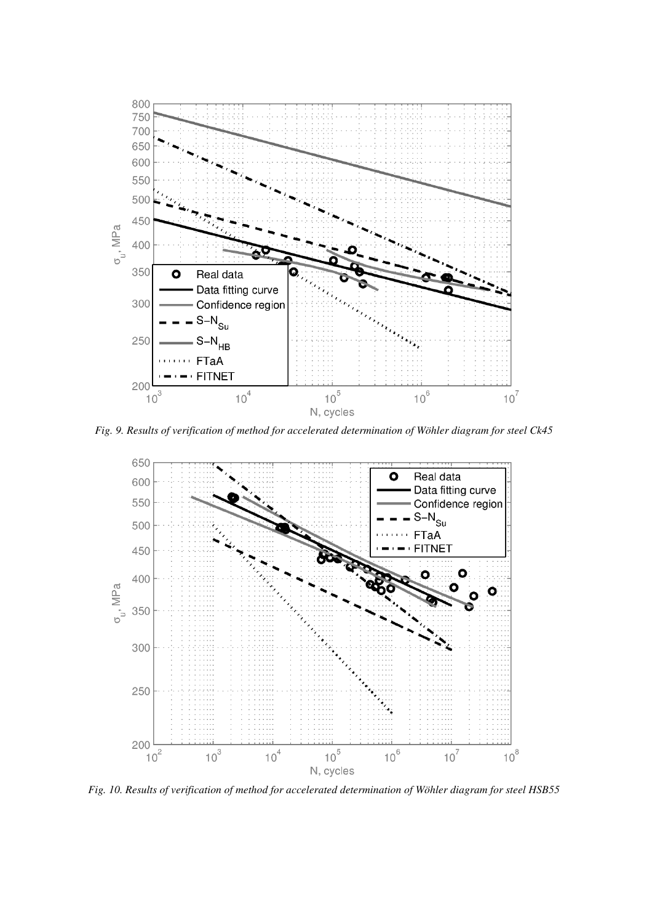

*Fig. 9. Results of verification of method for accelerated determination of Wöhler diagram for steel Ck45* 



*Fig. 10. Results of verification of method for accelerated determination of Wöhler diagram for steel HSB55*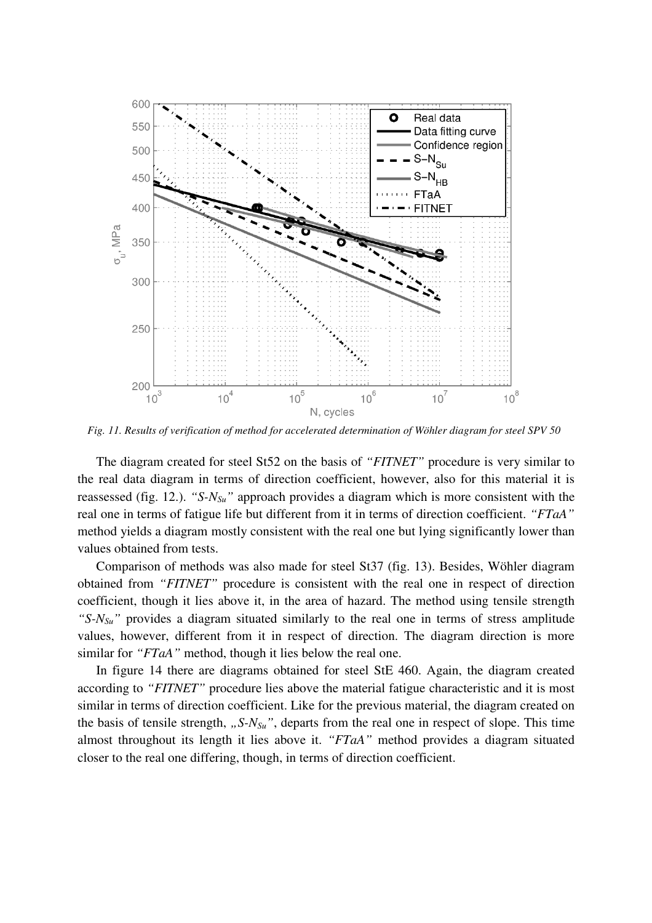

*Fig. 11. Results of verification of method for accelerated determination of Wöhler diagram for steel SPV 50* 

The diagram created for steel St52 on the basis of *"FITNET"* procedure is very similar to the real data diagram in terms of direction coefficient, however, also for this material it is reassessed (fig. 12.). *"S-NSu"* approach provides a diagram which is more consistent with the real one in terms of fatigue life but different from it in terms of direction coefficient. *"FTaA"*  method yields a diagram mostly consistent with the real one but lying significantly lower than values obtained from tests.

Comparison of methods was also made for steel St37 (fig. 13). Besides, Wöhler diagram obtained from *"FITNET"* procedure is consistent with the real one in respect of direction coefficient, though it lies above it, in the area of hazard. The method using tensile strength *"S-NSu"* provides a diagram situated similarly to the real one in terms of stress amplitude values, however, different from it in respect of direction. The diagram direction is more similar for *"FTaA"* method, though it lies below the real one.

In figure 14 there are diagrams obtained for steel StE 460. Again, the diagram created according to *"FITNET"* procedure lies above the material fatigue characteristic and it is most similar in terms of direction coefficient. Like for the previous material, the diagram created on the basis of tensile strength,  $, S-N<sub>Su</sub>$ <sup>"</sup>, departs from the real one in respect of slope. This time almost throughout its length it lies above it. *"FTaA"* method provides a diagram situated closer to the real one differing, though, in terms of direction coefficient.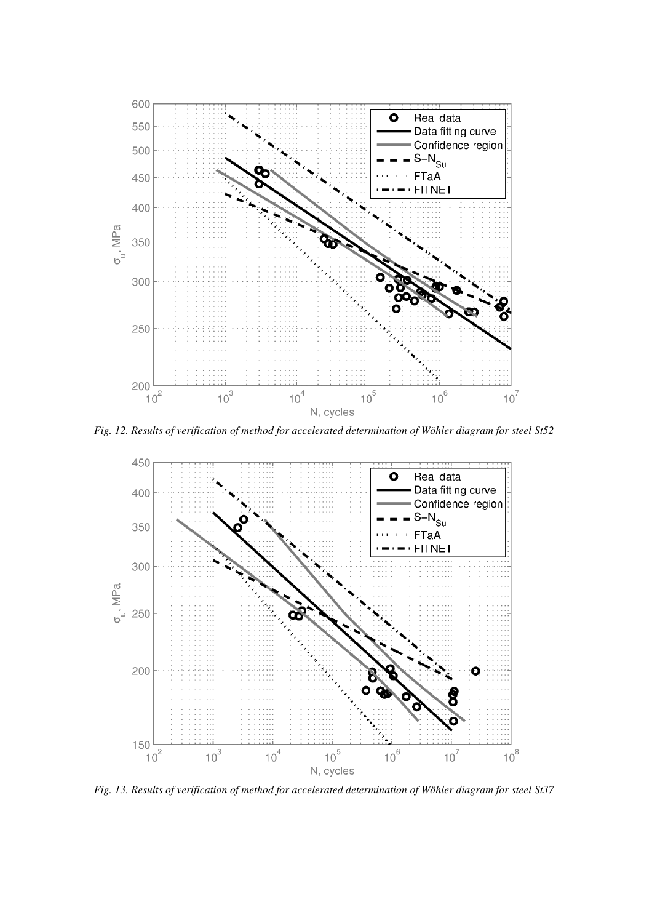

*Fig. 12. Results of verification of method for accelerated determination of Wöhler diagram for steel St52* 



*Fig. 13. Results of verification of method for accelerated determination of Wöhler diagram for steel St37*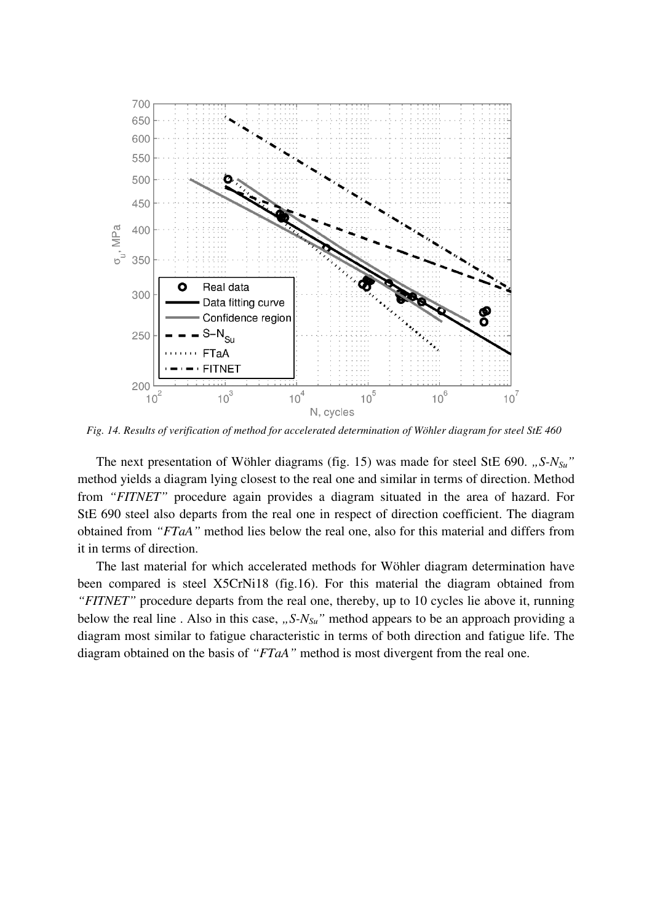

*Fig. 14. Results of verification of method for accelerated determination of Wöhler diagram for steel StE 460* 

The next presentation of Wöhler diagrams (fig. 15) was made for steel StE 690. "S-N<sub>Su</sub><sup>"</sup> method yields a diagram lying closest to the real one and similar in terms of direction. Method from *"FITNET"* procedure again provides a diagram situated in the area of hazard. For StE 690 steel also departs from the real one in respect of direction coefficient. The diagram obtained from *"FTaA"* method lies below the real one, also for this material and differs from it in terms of direction.

The last material for which accelerated methods for Wöhler diagram determination have been compared is steel X5CrNi18 (fig.16). For this material the diagram obtained from *"FITNET"* procedure departs from the real one, thereby, up to 10 cycles lie above it, running below the real line . Also in this case, "S-N<sub>Su</sub>" method appears to be an approach providing a diagram most similar to fatigue characteristic in terms of both direction and fatigue life. The diagram obtained on the basis of *"FTaA"* method is most divergent from the real one.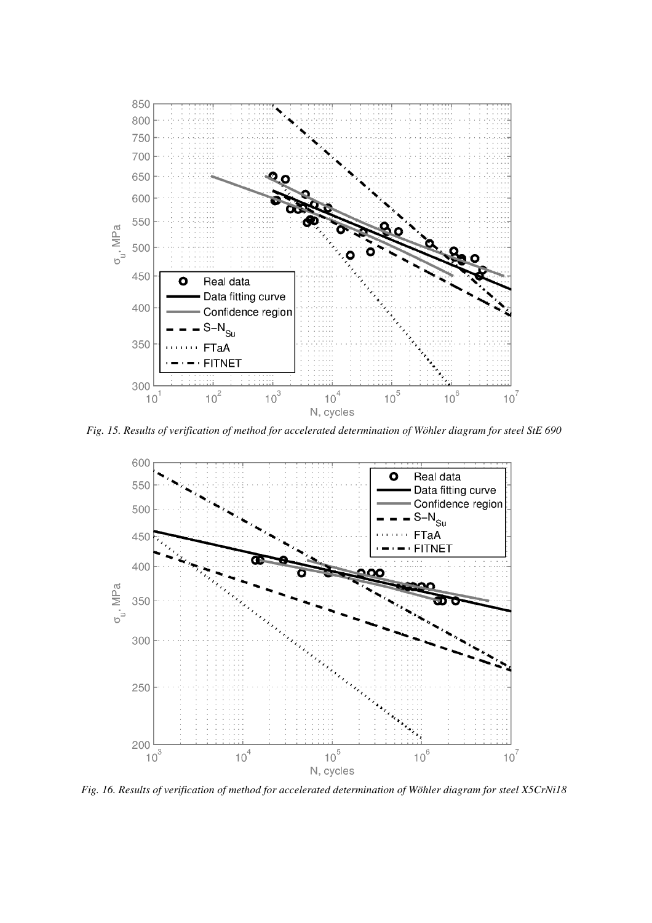

*Fig. 15. Results of verification of method for accelerated determination of Wöhler diagram for steel StE 690* 



*Fig. 16. Results of verification of method for accelerated determination of Wöhler diagram for steel X5CrNi18*